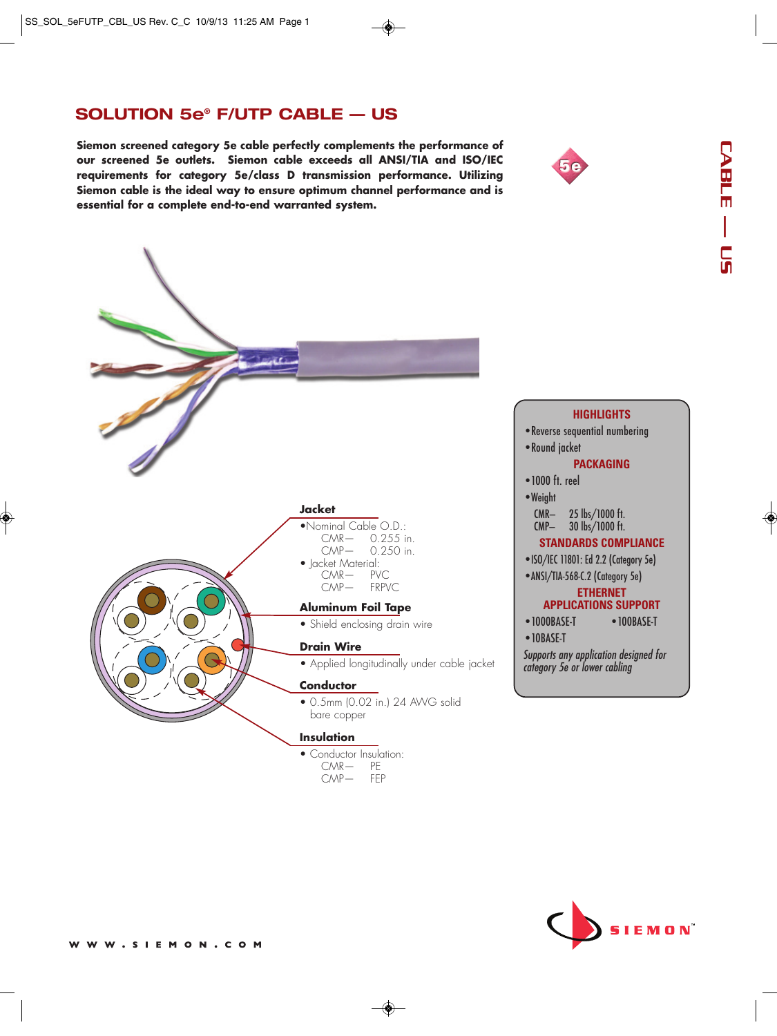## **SOLUTION 5e® F/UTP CABLE — US**

**Siemon screened category 5e cable perfectly complements the performance of our screened 5e outlets. Siemon cable exceeds all ANSI/TIA and ISO/IEC requirements for category 5e/class D transmission performance. Utilizing Siemon cable is the ideal way to ensure optimum channel performance and is essential for a complete end-to-end warranted system.**



◈

## **HIGHLIGHTS**

• Reverse sequential numbering • Round jacket

## **PACKAGING**

• 1000 ft. reel

•Weight CMR— 25 lbs/1000 ft. CMP— 30 lbs/1000 ft.

#### **STANDARDS COMPLIANCE**

•ISO/IEC 11801: Ed 2.2 (Category 5e)

•ANSI/TIA-568-C.2 (Category 5e)

#### **ETHERNET**

## **APPLICATIONS SUPPORT**

- 1000BASE-T 100BASE-T
- 10BASE-T

Supports any application designed for category 5e or lower cabling

# **IEMON**

◈